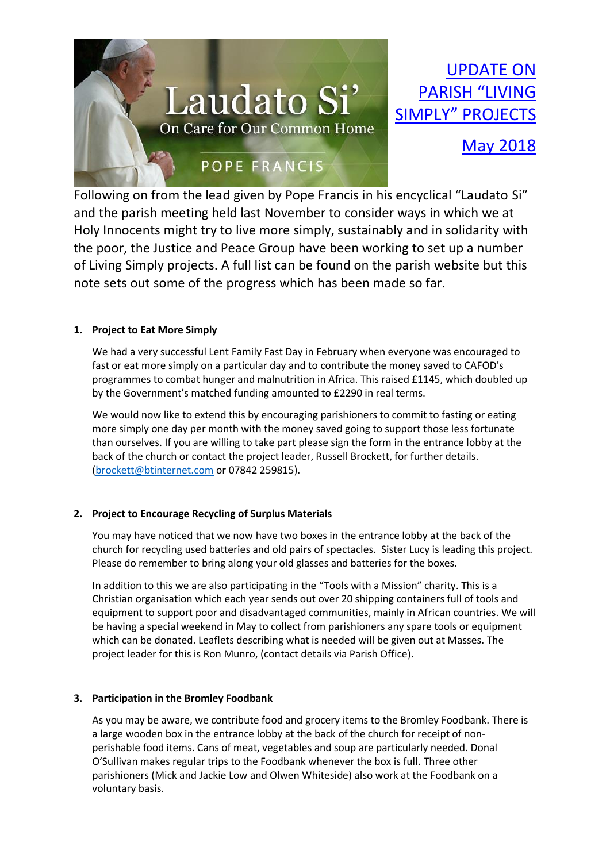

UPDATE ON PARISH "LIVING SIMPLY" PROJECTS

# May 2018

Following on from the lead given by Pope Francis in his encyclical "Laudato Si" and the parish meeting held last November to consider ways in which we at Holy Innocents might try to live more simply, sustainably and in solidarity with the poor, the Justice and Peace Group have been working to set up a number of Living Simply projects. A full list can be found on the parish website but this note sets out some of the progress which has been made so far.

## **1. Project to Eat More Simply**

We had a very successful Lent Family Fast Day in February when everyone was encouraged to fast or eat more simply on a particular day and to contribute the money saved to CAFOD's programmes to combat hunger and malnutrition in Africa. This raised £1145, which doubled up by the Government's matched funding amounted to £2290 in real terms.

We would now like to extend this by encouraging parishioners to commit to fasting or eating more simply one day per month with the money saved going to support those less fortunate than ourselves. If you are willing to take part please sign the form in the entrance lobby at the back of the church or contact the project leader, Russell Brockett, for further details. [\(brockett@btinternet.com](mailto:brockett@btinternet.com) or 07842 259815).

### **2. Project to Encourage Recycling of Surplus Materials**

You may have noticed that we now have two boxes in the entrance lobby at the back of the church for recycling used batteries and old pairs of spectacles. Sister Lucy is leading this project. Please do remember to bring along your old glasses and batteries for the boxes.

In addition to this we are also participating in the "Tools with a Mission" charity. This is a Christian organisation which each year sends out over 20 shipping containers full of tools and equipment to support poor and disadvantaged communities, mainly in African countries. We will be having a special weekend in May to collect from parishioners any spare tools or equipment which can be donated. Leaflets describing what is needed will be given out at Masses. The project leader for this is Ron Munro, (contact details via Parish Office).

### **3. Participation in the Bromley Foodbank**

As you may be aware, we contribute food and grocery items to the Bromley Foodbank. There is a large wooden box in the entrance lobby at the back of the church for receipt of nonperishable food items. Cans of meat, vegetables and soup are particularly needed. Donal O'Sullivan makes regular trips to the Foodbank whenever the box is full. Three other parishioners (Mick and Jackie Low and Olwen Whiteside) also work at the Foodbank on a voluntary basis.